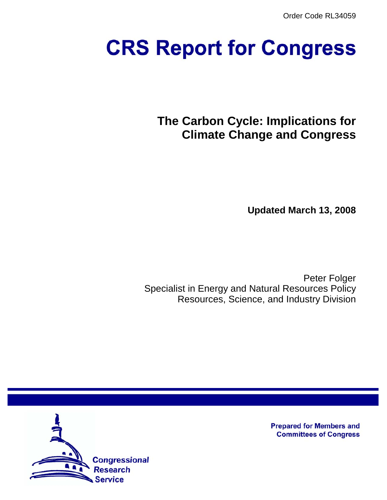Order Code RL34059

# **CRS Report for Congress**

**The Carbon Cycle: Implications for Climate Change and Congress**

**Updated March 13, 2008**

Peter Folger Specialist in Energy and Natural Resources Policy Resources, Science, and Industry Division



**Prepared for Members and Committees of Congress**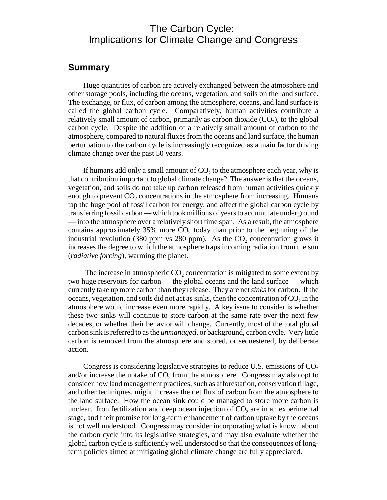### The Carbon Cycle: Implications for Climate Change and Congress

#### **Summary**

Huge quantities of carbon are actively exchanged between the atmosphere and other storage pools, including the oceans, vegetation, and soils on the land surface. The exchange, or flux, of carbon among the atmosphere, oceans, and land surface is called the global carbon cycle. Comparatively, human activities contribute a relatively small amount of carbon, primarily as carbon dioxide  $(CO<sub>2</sub>)$ , to the global carbon cycle. Despite the addition of a relatively small amount of carbon to the atmosphere, compared to natural fluxes from the oceans and land surface, the human perturbation to the carbon cycle is increasingly recognized as a main factor driving climate change over the past 50 years.

If humans add only a small amount of  $CO<sub>2</sub>$  to the atmosphere each year, why is that contribution important to global climate change? The answer is that the oceans, vegetation, and soils do not take up carbon released from human activities quickly enough to prevent  $CO<sub>2</sub>$  concentrations in the atmosphere from increasing. Humans tap the huge pool of fossil carbon for energy, and affect the global carbon cycle by transferring fossil carbon — which took millions of years to accumulate underground — into the atmosphere over a relatively short time span. As a result, the atmosphere contains approximately 35% more  $CO<sub>2</sub>$  today than prior to the beginning of the industrial revolution (380 ppm vs 280 ppm). As the  $CO<sub>2</sub>$  concentration grows it increases the degree to which the atmosphere traps incoming radiation from the sun (*radiative forcing*), warming the planet.

The increase in atmospheric  $CO<sub>2</sub>$  concentration is mitigated to some extent by two huge reservoirs for carbon — the global oceans and the land surface — which currently take up more carbon than they release. They are net *sinks* for carbon. If the oceans, vegetation, and soils did not act as sinks, then the concentration of  $CO<sub>2</sub>$  in the atmosphere would increase even more rapidly. A key issue to consider is whether these two sinks will continue to store carbon at the same rate over the next few decades, or whether their behavior will change. Currently, most of the total global carbon sink is referred to as the *unmanaged*, or background, carbon cycle. Very little carbon is removed from the atmosphere and stored, or sequestered, by deliberate action.

Congress is considering legislative strategies to reduce U.S. emissions of  $CO<sub>2</sub>$ and/or increase the uptake of  $CO<sub>2</sub>$  from the atmosphere. Congress may also opt to consider how land management practices, such as afforestation, conservation tillage, and other techniques, might increase the net flux of carbon from the atmosphere to the land surface. How the ocean sink could be managed to store more carbon is unclear. Iron fertilization and deep ocean injection of  $CO<sub>2</sub>$  are in an experimental stage, and their promise for long-term enhancement of carbon uptake by the oceans is not well understood. Congress may consider incorporating what is known about the carbon cycle into its legislative strategies, and may also evaluate whether the global carbon cycle is sufficiently well understood so that the consequences of longterm policies aimed at mitigating global climate change are fully appreciated.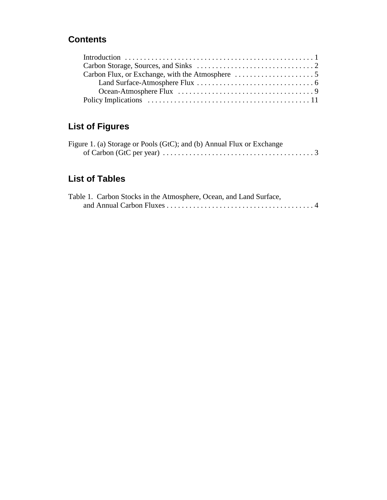## **Contents**

# **List of Figures**

| Figure 1. (a) Storage or Pools (GtC); and (b) Annual Flux or Exchange                                    |  |
|----------------------------------------------------------------------------------------------------------|--|
| of Carbon (GtC per year) $\dots \dots \dots \dots \dots \dots \dots \dots \dots \dots \dots \dots \dots$ |  |

## **List of Tables**

| Table 1. Carbon Stocks in the Atmosphere, Ocean, and Land Surface, |  |  |  |  |  |  |  |  |  |
|--------------------------------------------------------------------|--|--|--|--|--|--|--|--|--|
|                                                                    |  |  |  |  |  |  |  |  |  |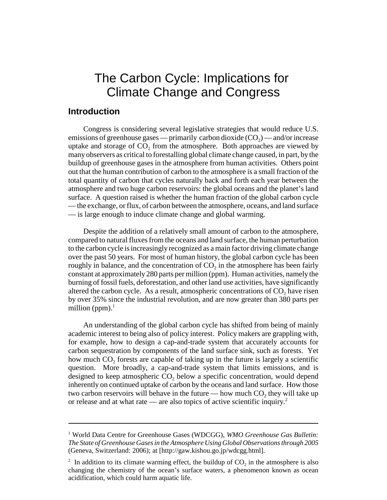# The Carbon Cycle: Implications for Climate Change and Congress

#### **Introduction**

Congress is considering several legislative strategies that would reduce U.S. emissions of greenhouse gases — primarily carbon dioxide  $(CO<sub>2</sub>)$  — and/or increase uptake and storage of  $CO<sub>2</sub>$  from the atmosphere. Both approaches are viewed by many observers as critical to forestalling global climate change caused, in part, by the buildup of greenhouse gases in the atmosphere from human activities. Others point out that the human contribution of carbon to the atmosphere is a small fraction of the total quantity of carbon that cycles naturally back and forth each year between the atmosphere and two huge carbon reservoirs: the global oceans and the planet's land surface. A question raised is whether the human fraction of the global carbon cycle — the exchange, or flux, of carbon between the atmosphere, oceans, and land surface — is large enough to induce climate change and global warming.

Despite the addition of a relatively small amount of carbon to the atmosphere, compared to natural fluxes from the oceans and land surface, the human perturbation to the carbon cycle is increasingly recognized as a main factor driving climate change over the past 50 years. For most of human history, the global carbon cycle has been roughly in balance, and the concentration of  $CO<sub>2</sub>$  in the atmosphere has been fairly constant at approximately 280 parts per million (ppm). Human activities, namely the burning of fossil fuels, deforestation, and other land use activities, have significantly altered the carbon cycle. As a result, atmospheric concentrations of  $CO<sub>2</sub>$  have risen by over 35% since the industrial revolution, and are now greater than 380 parts per million (ppm). $<sup>1</sup>$ </sup>

An understanding of the global carbon cycle has shifted from being of mainly academic interest to being also of policy interest. Policy makers are grappling with, for example, how to design a cap-and-trade system that accurately accounts for carbon sequestration by components of the land surface sink, such as forests. Yet how much CO<sub>2</sub> forests are capable of taking up in the future is largely a scientific question. More broadly, a cap-and-trade system that limits emissions, and is designed to keep atmospheric  $CO<sub>2</sub>$  below a specific concentration, would depend inherently on continued uptake of carbon by the oceans and land surface. How those two carbon reservoirs will behave in the future — how much  $CO<sub>2</sub>$ , they will take up or release and at what rate — are also topics of active scientific inquiry.<sup>2</sup>

<sup>&</sup>lt;sup>1</sup> World Data Centre for Greenhouse Gases (WDCGG), *WMO Greenhouse Gas Bulletin: The State of Greenhouse Gases in the Atmosphere Using Global Observations through 2005* (Geneva, Switzerland: 2006); at [http://gaw.kishou.go.jp/wdcgg.html].

<sup>&</sup>lt;sup>2</sup> In addition to its climate warming effect, the buildup of  $CO<sub>2</sub>$  in the atmosphere is also changing the chemistry of the ocean's surface waters, a phenomenon known as ocean acidification, which could harm aquatic life.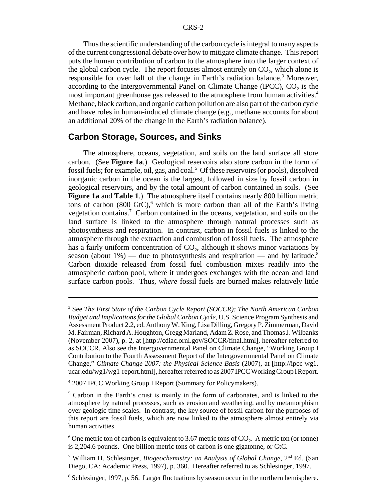Thus the scientific understanding of the carbon cycle is integral to many aspects of the current congressional debate over how to mitigate climate change. This report puts the human contribution of carbon to the atmosphere into the larger context of the global carbon cycle. The report focuses almost entirely on  $CO<sub>2</sub>$ , which alone is responsible for over half of the change in Earth's radiation balance.<sup>3</sup> Moreover, according to the Intergovernmental Panel on Climate Change (IPCC),  $CO<sub>2</sub>$  is the most important greenhouse gas released to the atmosphere from human activities.<sup>4</sup> Methane, black carbon, and organic carbon pollution are also part of the carbon cycle and have roles in human-induced climate change (e.g., methane accounts for about an additional 20% of the change in the Earth's radiation balance).

#### **Carbon Storage, Sources, and Sinks**

The atmosphere, oceans, vegetation, and soils on the land surface all store carbon. (See **Figure 1a**.) Geological reservoirs also store carbon in the form of fossil fuels; for example, oil, gas, and coal.<sup>5</sup> Of these reservoirs (or pools), dissolved inorganic carbon in the ocean is the largest, followed in size by fossil carbon in geological reservoirs, and by the total amount of carbon contained in soils. (See **Figure 1a** and **Table 1**.) The atmosphere itself contains nearly 800 billion metric tons of carbon  $(800 \text{ GtC})$ , which is more carbon than all of the Earth's living vegetation contains.<sup>7</sup> Carbon contained in the oceans, vegetation, and soils on the land surface is linked to the atmosphere through natural processes such as photosynthesis and respiration. In contrast, carbon in fossil fuels is linked to the atmosphere through the extraction and combustion of fossil fuels. The atmosphere has a fairly uniform concentration of  $CO<sub>2</sub>$ , although it shows minor variations by season (about 1%) — due to photosynthesis and respiration — and by latitude.<sup>8</sup> Carbon dioxide released from fossil fuel combustion mixes readily into the atmospheric carbon pool, where it undergoes exchanges with the ocean and land surface carbon pools. Thus, *where* fossil fuels are burned makes relatively little

<sup>4</sup> 2007 IPCC Working Group I Report (Summary for Policymakers).

<sup>3</sup> See *The First State of the Carbon Cycle Report (SOCCR): The North American Carbon Budget and Implications for the Global Carbon Cycle,* U.S. Science Program Synthesis and Assessment Product 2.2, ed. Anthony W. King, Lisa Dilling, Gregory P. Zimmerman, David M. Fairman, Richard A. Houghton, Gregg Marland, Adam Z. Rose, and Thomas J. Wilbanks (November 2007), p. 2, at [http://cdiac.ornl.gov/SOCCR/final.html], hereafter referred to as SOCCR. Also see the Intergovernmental Panel on Climate Change, "Working Group I Contribution to the Fourth Assessment Report of the Intergovernmental Panel on Climate Change," *Climate Change 2007: the Physical Science Basis* (2007), at [http://ipcc-wg1. ucar.edu/wg1/wg1-report.html], hereafter referred to as 2007 IPCC Working Group I Report.

<sup>&</sup>lt;sup>5</sup> Carbon in the Earth's crust is mainly in the form of carbonates, and is linked to the atmosphere by natural processes, such as erosion and weathering, and by metamorphism over geologic time scales. In contrast, the key source of fossil carbon for the purposes of this report are fossil fuels, which are now linked to the atmosphere almost entirely via human activities.

<sup>&</sup>lt;sup>6</sup> One metric ton of carbon is equivalent to 3.67 metric tons of  $CO_2$ . A metric ton (or tonne) is 2,204.6 pounds. One billion metric tons of carbon is one gigatonne, or GtC.

<sup>&</sup>lt;sup>7</sup> William H. Schlesinger, *Biogeochemistry: an Analysis of Global Change*, 2<sup>nd</sup> Ed. (San Diego, CA: Academic Press, 1997), p. 360. Hereafter referred to as Schlesinger, 1997.

<sup>&</sup>lt;sup>8</sup> Schlesinger, 1997, p. 56. Larger fluctuations by season occur in the northern hemisphere.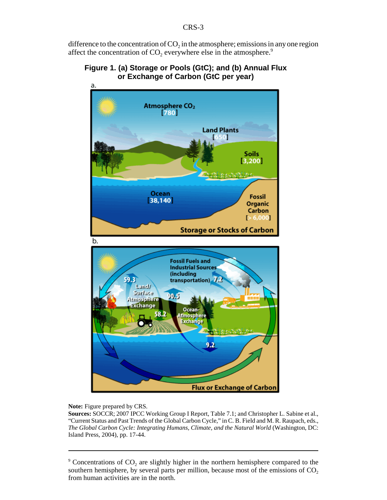difference to the concentration of  $CO<sub>2</sub>$  in the atmosphere; emissions in any one region affect the concentration of  $CO<sub>2</sub>$  everywhere else in the atmosphere.<sup>9</sup>

#### **Figure 1. (a) Storage or Pools (GtC); and (b) Annual Flux or Exchange of Carbon (GtC per year)**



#### **Note:** Figure prepared by CRS.

**Sources:** SOCCR; 2007 IPCC Working Group I Report, Table 7.1; and Christopher L. Sabine et al., "Current Status and Past Trends of the Global Carbon Cycle," in C. B. Field and M. R. Raupach, eds., *The Global Carbon Cycle: Integrating Humans, Climate, and the Natural World* (Washington, DC: Island Press, 2004), pp. 17-44.

 $9$  Concentrations of CO<sub>2</sub> are slightly higher in the northern hemisphere compared to the southern hemisphere, by several parts per million, because most of the emissions of  $CO<sub>2</sub>$ from human activities are in the north.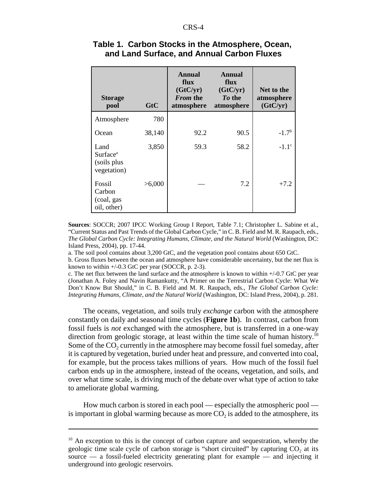| <b>Storage</b><br>pool                                     | GtC    | Annual<br>flux<br>(GtC/yr)<br><i>From the</i><br>atmosphere | Annual<br>flux<br>(GtC/yr)<br>To the<br>atmosphere | Net to the<br>atmosphere<br>(GtC/yr) |
|------------------------------------------------------------|--------|-------------------------------------------------------------|----------------------------------------------------|--------------------------------------|
| Atmosphere                                                 | 780    |                                                             |                                                    |                                      |
| Ocean                                                      | 38,140 | 92.2                                                        | 90.5                                               | $-1.7b$                              |
| Land<br>Surface <sup>a</sup><br>(soils plus<br>vegetation) | 3,850  | 59.3                                                        | 58.2                                               | $-1.1^{\circ}$                       |
| Fossil<br>Carbon<br>(coal, gas<br>oil, other)              | >6,000 |                                                             | 7.2                                                | $+7.2$                               |

#### **Table 1. Carbon Stocks in the Atmosphere, Ocean, and Land Surface, and Annual Carbon Fluxes**

**Sources**: SOCCR; 2007 IPCC Working Group I Report, Table 7.1; Christopher L. Sabine et al., "Current Status and Past Trends of the Global Carbon Cycle," in C. B. Field and M. R. Raupach, eds., *The Global Carbon Cycle: Integrating Humans, Climate, and the Natural World* (Washington, DC: Island Press, 2004), pp. 17-44.

a. The soil pool contains about 3,200 GtC, and the vegetation pool contains about 650 GtC.

b. Gross fluxes between the ocean and atmosphere have considerable uncertainty, but the net flux is known to within  $+/-0.3$  GtC per year (SOCCR, p. 2-3).

c. The net flux between the land surface and the atmosphere is known to within +/-0.7 GtC per year (Jonathan A. Foley and Navin Ramankutty, "A Primer on the Terrestrial Carbon Cycle: What We Don't Know But Should," in C. B. Field and M. R. Raupach, eds., *The Global Carbon Cycle: Integrating Humans, Climate, and the Natural World* (Washington, DC: Island Press, 2004), p. 281.

The oceans, vegetation, and soils truly *exchange* carbon with the atmosphere constantly on daily and seasonal time cycles (**Figure 1b**). In contrast, carbon from fossil fuels is *not* exchanged with the atmosphere, but is transferred in a one-way direction from geologic storage, at least within the time scale of human history.<sup>10</sup> Some of the CO<sub>2</sub> currently in the atmosphere may become fossil fuel someday, after it is captured by vegetation, buried under heat and pressure, and converted into coal, for example, but the process takes millions of years. How much of the fossil fuel carbon ends up in the atmosphere, instead of the oceans, vegetation, and soils, and over what time scale, is driving much of the debate over what type of action to take to ameliorate global warming.

How much carbon is stored in each pool — especially the atmospheric pool is important in global warming because as more  $CO<sub>2</sub>$  is added to the atmosphere, its

 $10$  An exception to this is the concept of carbon capture and sequestration, whereby the geologic time scale cycle of carbon storage is "short circuited" by capturing  $CO<sub>2</sub>$  at its source  $-$  a fossil-fueled electricity generating plant for example  $-$  and injecting it underground into geologic reservoirs.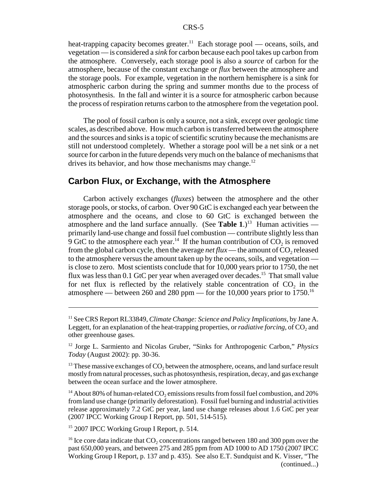heat-trapping capacity becomes greater.<sup>11</sup> Each storage pool — oceans, soils, and vegetation — is considered a *sink* for carbon because each pool takes up carbon from the atmosphere. Conversely, each storage pool is also a *source* of carbon for the atmosphere, because of the constant exchange or *flux* between the atmosphere and the storage pools. For example, vegetation in the northern hemisphere is a sink for atmospheric carbon during the spring and summer months due to the process of photosynthesis. In the fall and winter it is a source for atmospheric carbon because the process of respiration returns carbon to the atmosphere from the vegetation pool.

The pool of fossil carbon is only a source, not a sink, except over geologic time scales, as described above. How much carbon is transferred between the atmosphere and the sources and sinks is a topic of scientific scrutiny because the mechanisms are still not understood completely. Whether a storage pool will be a net sink or a net source for carbon in the future depends very much on the balance of mechanisms that drives its behavior, and how those mechanisms may change. $^{12}$ 

#### **Carbon Flux, or Exchange, with the Atmosphere**

Carbon actively exchanges (*fluxes*) between the atmosphere and the other storage pools, or stocks, of carbon. Over 90 GtC is exchanged each year between the atmosphere and the oceans, and close to 60 GtC is exchanged between the atmosphere and the land surface annually. (See **Table 1**.)<sup>13</sup> Human activities primarily land-use change and fossil fuel combustion — contribute slightly less than 9 GtC to the atmosphere each year.<sup>14</sup> If the human contribution of  $CO<sub>2</sub>$  is removed from the global carbon cycle, then the average *net flux* — the amount of  $CO<sub>2</sub>$  released to the atmosphere versus the amount taken up by the oceans, soils, and vegetation is close to zero. Most scientists conclude that for 10,000 years prior to 1750, the net flux was less than  $0.1$  GtC per year when averaged over decades.<sup>15</sup> That small value for net flux is reflected by the relatively stable concentration of  $CO<sub>2</sub>$  in the atmosphere — between 260 and 280 ppm — for the 10,000 years prior to 1750.<sup>16</sup>

<sup>14</sup> About 80% of human-related  $CO_2$  emissions results from fossil fuel combustion, and 20% from land use change (primarily deforestation). Fossil fuel burning and industrial activities release approximately 7.2 GtC per year, land use change releases about 1.6 GtC per year (2007 IPCC Working Group I Report, pp. 501, 514-515).

<sup>15</sup> 2007 IPCC Working Group I Report, p. 514.

<sup>11</sup> See CRS Report RL33849, *Climate Change: Science and Policy Implications*, by Jane A. Leggett, for an explanation of the heat-trapping properties, or *radiative forcing*, of CO<sub>2</sub> and other greenhouse gases.

<sup>12</sup> Jorge L. Sarmiento and Nicolas Gruber, "Sinks for Anthropogenic Carbon," *Physics Today* (August 2002): pp. 30-36.

 $13$  These massive exchanges of CO<sub>2</sub> between the atmosphere, oceans, and land surface result mostly from natural processes, such as photosynthesis, respiration, decay, and gas exchange between the ocean surface and the lower atmosphere.

<sup>&</sup>lt;sup>16</sup> Ice core data indicate that  $CO<sub>2</sub>$  concentrations ranged between 180 and 300 ppm over the past 650,000 years, and between 275 and 285 ppm from AD 1000 to AD 1750 (2007 IPCC Working Group I Report, p. 137 and p. 435). See also E.T. Sundquist and K. Visser, "The (continued...)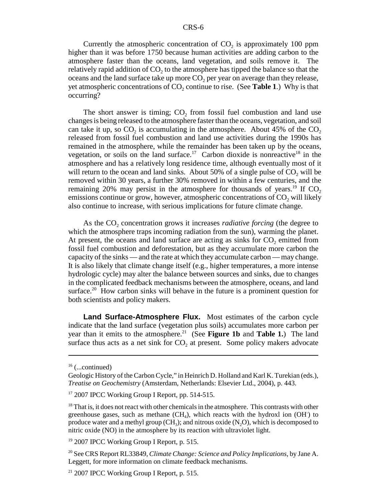Currently the atmospheric concentration of  $CO<sub>2</sub>$  is approximately 100 ppm higher than it was before 1750 because human activities are adding carbon to the atmosphere faster than the oceans, land vegetation, and soils remove it. The relatively rapid addition of  $CO<sub>2</sub>$  to the atmosphere has tipped the balance so that the oceans and the land surface take up more  $CO<sub>2</sub>$  per year on average than they release, yet atmospheric concentrations of  $CO<sub>2</sub>$  continue to rise. (See **Table 1**.) Why is that occurring?

The short answer is timing;  $CO<sub>2</sub>$  from fossil fuel combustion and land use changes is being released to the atmosphere faster than the oceans, vegetation, and soil can take it up, so  $CO<sub>2</sub>$  is accumulating in the atmosphere. About 45% of the  $CO<sub>2</sub>$ released from fossil fuel combustion and land use activities during the 1990s has remained in the atmosphere, while the remainder has been taken up by the oceans, vegetation, or soils on the land surface.<sup>17</sup> Carbon dioxide is nonreactive<sup>18</sup> in the atmosphere and has a relatively long residence time, although eventually most of it will return to the ocean and land sinks. About  $50\%$  of a single pulse of  $CO<sub>2</sub>$  will be removed within 30 years, a further 30% removed in within a few centuries, and the remaining 20% may persist in the atmosphere for thousands of years.<sup>19</sup> If  $CO<sub>2</sub>$ emissions continue or grow, however, atmospheric concentrations of  $CO<sub>2</sub>$  will likely also continue to increase, with serious implications for future climate change.

As the CO<sub>2</sub> concentration grows it increases *radiative forcing* (the degree to which the atmosphere traps incoming radiation from the sun), warming the planet. At present, the oceans and land surface are acting as sinks for  $CO<sub>2</sub>$  emitted from fossil fuel combustion and deforestation, but as they accumulate more carbon the capacity of the sinks — and the rate at which they accumulate carbon — may change. It is also likely that climate change itself (e.g., higher temperatures, a more intense hydrologic cycle) may alter the balance between sources and sinks, due to changes in the complicated feedback mechanisms between the atmosphere, oceans, and land surface.<sup>20</sup> How carbon sinks will behave in the future is a prominent question for both scientists and policy makers.

**Land Surface-Atmosphere Flux.** Most estimates of the carbon cycle indicate that the land surface (vegetation plus soils) accumulates more carbon per year than it emits to the atmosphere.<sup>21</sup> (See **Figure 1b** and **Table 1.**) The land surface thus acts as a net sink for  $CO<sub>2</sub>$  at present. Some policy makers advocate

 $16$  (...continued)

Geologic History of the Carbon Cycle," in Heinrich D. Holland and Karl K. Turekian (eds.), *Treatise on Geochemistry* (Amsterdam, Netherlands: Elsevier Ltd., 2004), p. 443.

<sup>&</sup>lt;sup>17</sup> 2007 IPCC Working Group I Report, pp. 514-515.

 $18$  That is, it does not react with other chemicals in the atmosphere. This contrasts with other greenhouse gases, such as methane  $(CH<sub>4</sub>)$ , which reacts with the hydroxl ion  $(OH<sub>2</sub>)$  to produce water and a methyl group  $(CH_3)$ ; and nitrous oxide  $(N_2O)$ , which is decomposed to nitric oxide (NO) in the atmosphere by its reaction with ultraviolet light.

<sup>&</sup>lt;sup>19</sup> 2007 IPCC Working Group I Report, p. 515.

<sup>20</sup> See CRS Report RL33849, *Climate Change: Science and Policy Implications*, by Jane A. Leggett, for more information on climate feedback mechanisms.

<sup>&</sup>lt;sup>21</sup> 2007 IPCC Working Group I Report, p. 515.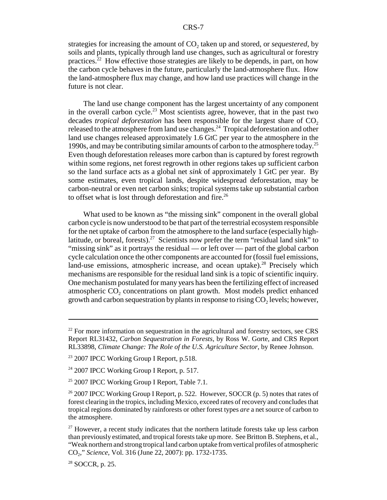strategies for increasing the amount of CO<sub>2</sub> taken up and stored, or *sequestered*, by soils and plants, typically through land use changes, such as agricultural or forestry practices.22 How effective those strategies are likely to be depends, in part, on how the carbon cycle behaves in the future, particularly the land-atmosphere flux. How the land-atmosphere flux may change, and how land use practices will change in the future is not clear.

The land use change component has the largest uncertainty of any component in the overall carbon cycle.<sup>23</sup> Most scientists agree, however, that in the past two decades *tropical deforestation* has been responsible for the largest share of CO<sub>2</sub> released to the atmosphere from land use changes.<sup>24</sup> Tropical deforestation and other land use changes released approximately 1.6 GtC per year to the atmosphere in the 1990s, and may be contributing similar amounts of carbon to the atmosphere today.25 Even though deforestation releases more carbon than is captured by forest regrowth within some regions, net forest regrowth in other regions takes up sufficient carbon so the land surface acts as a global net *sink* of approximately 1 GtC per year. By some estimates, even tropical lands, despite widespread deforestation, may be carbon-neutral or even net carbon sinks; tropical systems take up substantial carbon to offset what is lost through deforestation and fire.<sup>26</sup>

What used to be known as "the missing sink" component in the overall global carbon cycle is now understood to be that part of the terrestrial ecosystem responsible for the net uptake of carbon from the atmosphere to the land surface (especially highlatitude, or boreal, forests).<sup>27</sup> Scientists now prefer the term "residual land sink" to "missing sink" as it portrays the residual — or left over — part of the global carbon cycle calculation once the other components are accounted for (fossil fuel emissions, land-use emissions, atmospheric increase, and ocean uptake).<sup>28</sup> Precisely which mechanisms are responsible for the residual land sink is a topic of scientific inquiry. One mechanism postulated for many years has been the fertilizing effect of increased atmospheric CO<sub>2</sub> concentrations on plant growth. Most models predict enhanced growth and carbon sequestration by plants in response to rising  $CO<sub>2</sub>$  levels; however,

 $22$  For more information on sequestration in the agricultural and forestry sectors, see CRS Report RL31432, *Carbon Sequestration in Forests*, by Ross W. Gorte, and CRS Report RL33898, *Climate Change: The Role of the U.S. Agriculture Sector*, by Renee Johnson.

<sup>&</sup>lt;sup>23</sup> 2007 IPCC Working Group I Report, p.518.

 $24$  2007 IPCC Working Group I Report, p. 517.

<sup>&</sup>lt;sup>25</sup> 2007 IPCC Working Group I Report, Table 7.1.

 $26$  2007 IPCC Working Group I Report, p. 522. However, SOCCR (p. 5) notes that rates of forest clearing in the tropics, including Mexico, exceed rates of recovery and concludes that tropical regions dominated by rainforests or other forest types *are* a net source of carbon to the atmosphere.

 $27$  However, a recent study indicates that the northern latitude forests take up less carbon than previously estimated, and tropical forests take up more. See Britton B. Stephens, et al., "Weak northern and strong tropical land carbon uptake from vertical profiles of atmospheric CO2," *Science*, Vol. 316 (June 22, 2007): pp. 1732-1735.

<sup>28</sup> SOCCR, p. 25.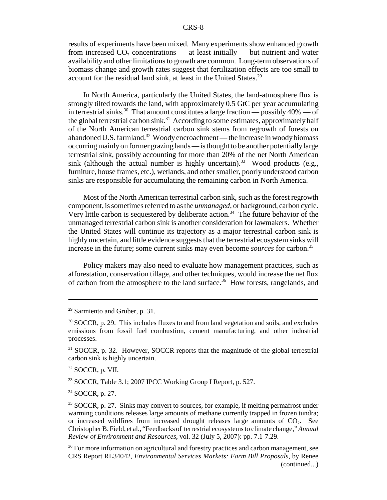results of experiments have been mixed. Many experiments show enhanced growth from increased  $CO<sub>2</sub>$  concentrations — at least initially — but nutrient and water availability and other limitations to growth are common. Long-term observations of biomass change and growth rates suggest that fertilization effects are too small to account for the residual land sink, at least in the United States.<sup>29</sup>

In North America, particularly the United States, the land-atmosphere flux is strongly tilted towards the land, with approximately 0.5 GtC per year accumulating in terrestrial sinks.<sup>30</sup> That amount constitutes a large fraction — possibly  $40\%$  — of the global terrestrial carbon sink.<sup>31</sup> According to some estimates, approximately half of the North American terrestrial carbon sink stems from regrowth of forests on abandoned U.S. farmland.<sup>32</sup> Woody encroachment — the increase in woody biomass occurring mainly on former grazing lands — is thought to be another potentially large terrestrial sink, possibly accounting for more than 20% of the net North American sink (although the actual number is highly uncertain).<sup>33</sup> Wood products (e.g., furniture, house frames, etc.), wetlands, and other smaller, poorly understood carbon sinks are responsible for accumulating the remaining carbon in North America.

Most of the North American terrestrial carbon sink, such as the forest regrowth component, is sometimes referred to as the *unmanaged*, or background, carbon cycle. Very little carbon is sequestered by deliberate action.<sup>34</sup> The future behavior of the unmanaged terrestrial carbon sink is another consideration for lawmakers. Whether the United States will continue its trajectory as a major terrestrial carbon sink is highly uncertain, and little evidence suggests that the terrestrial ecosystem sinks will increase in the future; some current sinks may even become *sources* for carbon.35

Policy makers may also need to evaluate how management practices, such as afforestation, conservation tillage, and other techniques, would increase the net flux of carbon from the atmosphere to the land surface.<sup>36</sup> How forests, rangelands, and

<sup>32</sup> SOCCR, p. VII.

<sup>33</sup> SOCCR, Table 3.1; 2007 IPCC Working Group I Report, p. 527.

34 SOCCR, p. 27.

<sup>29</sup> Sarmiento and Gruber, p. 31.

<sup>&</sup>lt;sup>30</sup> SOCCR, p. 29. This includes fluxes to and from land vegetation and soils, and excludes emissions from fossil fuel combustion, cement manufacturing, and other industrial processes.

<sup>&</sup>lt;sup>31</sup> SOCCR, p. 32. However, SOCCR reports that the magnitude of the global terrestrial carbon sink is highly uncertain.

<sup>&</sup>lt;sup>35</sup> SOCCR, p. 27. Sinks may convert to sources, for example, if melting permafrost under warming conditions releases large amounts of methane currently trapped in frozen tundra; or increased wildfires from increased drought releases large amounts of  $CO<sub>2</sub>$ . See Christopher B. Field, et al., "Feedbacks of terrestrial ecosystems to climate change," *Annual Review of Environment and Resources*, vol. 32 (July 5, 2007): pp. 7.1-7.29.

<sup>&</sup>lt;sup>36</sup> For more information on agricultural and forestry practices and carbon management, see CRS Report RL34042, *Environmental Services Markets: Farm Bill Proposals,* by Renee (continued...)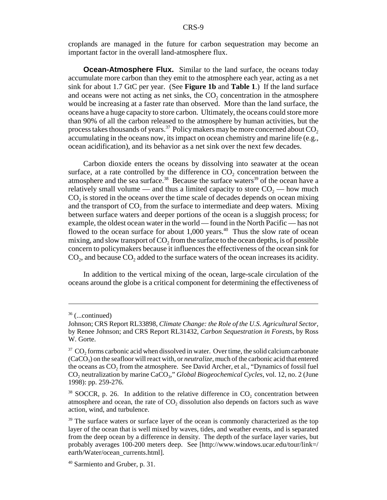croplands are managed in the future for carbon sequestration may become an important factor in the overall land-atmosphere flux.

**Ocean-Atmosphere Flux.** Similar to the land surface, the oceans today accumulate more carbon than they emit to the atmosphere each year, acting as a net sink for about 1.7 GtC per year. (See **Figure 1b** and **Table 1**.) If the land surface and oceans were not acting as net sinks, the  $CO<sub>2</sub>$  concentration in the atmosphere would be increasing at a faster rate than observed. More than the land surface, the oceans have a huge capacity to store carbon. Ultimately, the oceans could store more than 90% of all the carbon released to the atmosphere by human activities, but the process takes thousands of years.<sup>37</sup> Policy makers may be more concerned about  $CO<sub>2</sub>$ accumulating in the oceans now, its impact on ocean chemistry and marine life (e.g., ocean acidification), and its behavior as a net sink over the next few decades.

Carbon dioxide enters the oceans by dissolving into seawater at the ocean surface, at a rate controlled by the difference in  $CO<sub>2</sub>$  concentration between the atmosphere and the sea surface.<sup>38</sup> Because the surface waters<sup>39</sup> of the ocean have a relatively small volume — and thus a limited capacity to store  $CO<sub>2</sub>$  — how much  $CO<sub>2</sub>$  is stored in the oceans over the time scale of decades depends on ocean mixing and the transport of  $CO<sub>2</sub>$  from the surface to intermediate and deep waters. Mixing between surface waters and deeper portions of the ocean is a sluggish process; for example, the oldest ocean water in the world — found in the North Pacific — has not flowed to the ocean surface for about  $1,000$  years.<sup>40</sup> Thus the slow rate of ocean mixing, and slow transport of  $CO<sub>2</sub>$  from the surface to the ocean depths, is of possible concern to policymakers because it influences the effectiveness of the ocean sink for  $CO<sub>2</sub>$ , and because  $CO<sub>2</sub>$  added to the surface waters of the ocean increases its acidity.

In addition to the vertical mixing of the ocean, large-scale circulation of the oceans around the globe is a critical component for determining the effectiveness of

 $36$  (...continued)

Johnson; CRS Report RL33898, *Climate Change: the Role of the U.S. Agricultural Sector,* by Renee Johnson; and CRS Report RL31432, *Carbon Sequestration in Forest*s, by Ross W. Gorte.

 $37 \text{ CO}_2$  forms carbonic acid when dissolved in water. Over time, the solid calcium carbonate (CaCO3) on the seafloor will react with, or *neutralize,* much of the carbonic acid that entered the oceans as  $CO<sub>2</sub>$  from the atmosphere. See David Archer, et al., "Dynamics of fossil fuel CO<sub>2</sub> neutralization by marine CaCO<sub>3</sub>," *Global Biogeochemical Cycles*, vol. 12, no. 2 (June 1998): pp. 259-276.

 $38$  SOCCR, p. 26. In addition to the relative difference in  $CO_2$  concentration between atmosphere and ocean, the rate of  $CO<sub>2</sub>$  dissolution also depends on factors such as wave action, wind, and turbulence.

<sup>&</sup>lt;sup>39</sup> The surface waters or surface layer of the ocean is commonly characterized as the top layer of the ocean that is well mixed by waves, tides, and weather events, and is separated from the deep ocean by a difference in density. The depth of the surface layer varies, but probably averages 100-200 meters deep. See [http://www.windows.ucar.edu/tour/link=/ earth/Water/ocean\_currents.html].

<sup>40</sup> Sarmiento and Gruber, p. 31.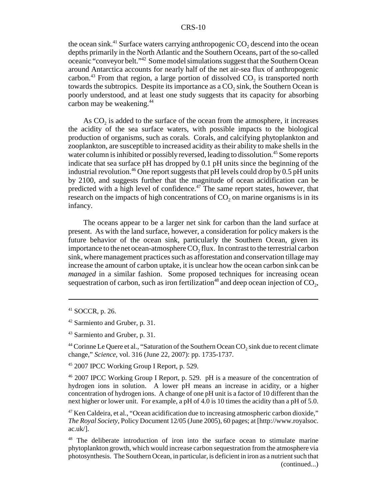#### CRS-10

the ocean sink.<sup>41</sup> Surface waters carrying anthropogenic  $CO<sub>2</sub>$  descend into the ocean depths primarily in the North Atlantic and the Southern Oceans, part of the so-called oceanic "conveyor belt."42 Some model simulations suggest that the Southern Ocean around Antarctica accounts for nearly half of the net air-sea flux of anthropogenic carbon.<sup>43</sup> From that region, a large portion of dissolved  $CO<sub>2</sub>$  is transported north towards the subtropics. Despite its importance as a  $CO<sub>2</sub>$  sink, the Southern Ocean is poorly understood, and at least one study suggests that its capacity for absorbing carbon may be weakening.<sup>44</sup>

As  $CO<sub>2</sub>$  is added to the surface of the ocean from the atmosphere, it increases the acidity of the sea surface waters, with possible impacts to the biological production of organisms, such as corals. Corals, and calcifying phytoplankton and zooplankton, are susceptible to increased acidity as their ability to make shells in the water column is inhibited or possibly reversed, leading to dissolution.<sup>45</sup> Some reports indicate that sea surface pH has dropped by 0.1 pH units since the beginning of the industrial revolution.<sup>46</sup> One report suggests that  $pH$  levels could drop by 0.5  $pH$  units by 2100, and suggests further that the magnitude of ocean acidification can be predicted with a high level of confidence. $47$  The same report states, however, that research on the impacts of high concentrations of  $CO<sub>2</sub>$  on marine organisms is in its infancy.

The oceans appear to be a larger net sink for carbon than the land surface at present. As with the land surface, however, a consideration for policy makers is the future behavior of the ocean sink, particularly the Southern Ocean, given its importance to the net ocean-atmosphere  $CO<sub>2</sub>$  flux. In contrast to the terrestrial carbon sink, where management practices such as afforestation and conservation tillage may increase the amount of carbon uptake, it is unclear how the ocean carbon sink can be *managed* in a similar fashion. Some proposed techniques for increasing ocean sequestration of carbon, such as iron fertilization<sup>48</sup> and deep ocean injection of  $CO<sub>2</sub>$ ,

<sup>45</sup> 2007 IPCC Working Group I Report, p. 529.

<sup>46</sup> 2007 IPCC Working Group I Report, p. 529. pH is a measure of the concentration of hydrogen ions in solution. A lower pH means an increase in acidity, or a higher concentration of hydrogen ions. A change of one pH unit is a factor of 10 different than the next higher or lower unit. For example, a pH of 4.0 is 10 times the acidity than a pH of 5.0.

 $47$  Ken Caldeira, et al., "Ocean acidification due to increasing atmospheric carbon dioxide," *The Royal Society,* Policy Document 12/05 (June 2005), 60 pages; at [http://www.royalsoc. ac.uk/].

<sup>48</sup> The deliberate introduction of iron into the surface ocean to stimulate marine phytoplankton growth, which would increase carbon sequestration from the atmosphere via photosynthesis. The Southern Ocean, in particular, is deficient in iron as a nutrient such that (continued...)

<sup>41</sup> SOCCR, p. 26.

<sup>42</sup> Sarmiento and Gruber, p. 31.

<sup>43</sup> Sarmiento and Gruber, p. 31.

 $44$  Corinne Le Quere et al., "Saturation of the Southern Ocean CO<sub>2</sub> sink due to recent climate change," *Science,* vol. 316 (June 22, 2007): pp. 1735-1737.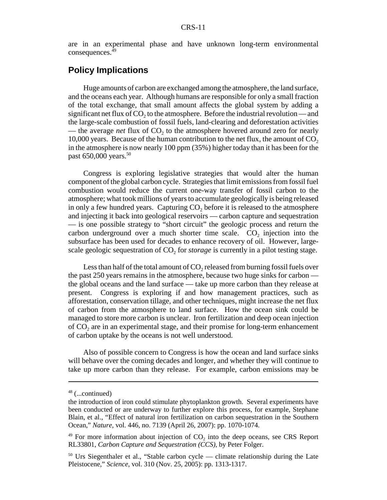are in an experimental phase and have unknown long-term environmental consequences.<sup>49</sup>

#### **Policy Implications**

Huge amounts of carbon are exchanged among the atmosphere, the land surface, and the oceans each year. Although humans are responsible for only a small fraction of the total exchange, that small amount affects the global system by adding a significant net flux of  $CO<sub>2</sub>$  to the atmosphere. Before the industrial revolution — and the large-scale combustion of fossil fuels, land-clearing and deforestation activities — the average *net* flux of CO<sub>2</sub> to the atmosphere hovered around zero for nearly 10,000 years. Because of the human contribution to the net flux, the amount of  $CO<sub>2</sub>$ in the atmosphere is now nearly 100 ppm (35%) higher today than it has been for the past 650,000 years.<sup>50</sup>

Congress is exploring legislative strategies that would alter the human component of the global carbon cycle. Strategies that limit emissions from fossil fuel combustion would reduce the current one-way transfer of fossil carbon to the atmosphere; what took millions of years to accumulate geologically is being released in only a few hundred years. Capturing  $CO<sub>2</sub>$  before it is released to the atmosphere and injecting it back into geological reservoirs — carbon capture and sequestration — is one possible strategy to "short circuit" the geologic process and return the carbon underground over a much shorter time scale.  $CO<sub>2</sub>$  injection into the subsurface has been used for decades to enhance recovery of oil. However, largescale geologic sequestration of  $CO<sub>2</sub>$  for *storage* is currently in a pilot testing stage.

Less than half of the total amount of  $CO<sub>2</sub>$  released from burning fossil fuels over the past 250 years remains in the atmosphere, because two huge sinks for carbon the global oceans and the land surface — take up more carbon than they release at present. Congress is exploring if and how management practices, such as afforestation, conservation tillage, and other techniques, might increase the net flux of carbon from the atmosphere to land surface. How the ocean sink could be managed to store more carbon is unclear. Iron fertilization and deep ocean injection of CO<sub>2</sub> are in an experimental stage, and their promise for long-term enhancement of carbon uptake by the oceans is not well understood.

Also of possible concern to Congress is how the ocean and land surface sinks will behave over the coming decades and longer, and whether they will continue to take up more carbon than they release. For example, carbon emissions may be

<sup>48 (...</sup>continued)

the introduction of iron could stimulate phytoplankton growth. Several experiments have been conducted or are underway to further explore this process, for example, Stephane Blain, et al., "Effect of natural iron fertilization on carbon sequestration in the Southern Ocean," *Nature*, vol. 446, no. 7139 (April 26, 2007): pp. 1070-1074.

 $49$  For more information about injection of  $CO<sub>2</sub>$  into the deep oceans, see CRS Report RL33801, *Carbon Capture and Sequestration (CCS)*, by Peter Folger.

<sup>&</sup>lt;sup>50</sup> Urs Siegenthaler et al., "Stable carbon cycle — climate relationship during the Late Pleistocene," *Science*, vol. 310 (Nov. 25, 2005): pp. 1313-1317.